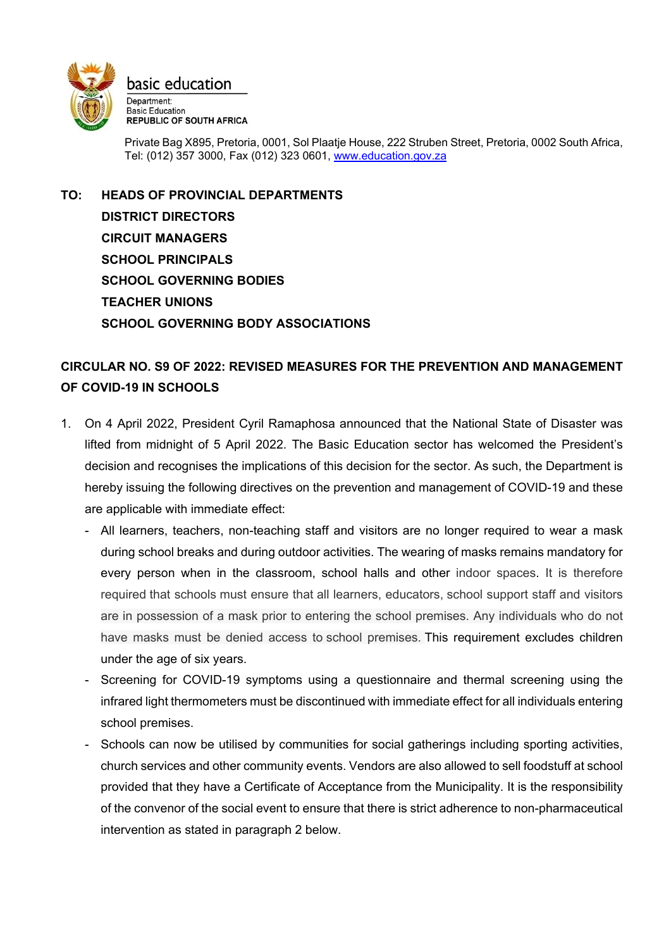

Private Bag X895, Pretoria, 0001, Sol Plaatje House, 222 Struben Street, Pretoria, 0002 South Africa, Tel: (012) 357 3000, Fax (012) 323 0601, [www.education.gov.za](http://www.education.gov.za/)

**TO: HEADS OF PROVINCIAL DEPARTMENTS DISTRICT DIRECTORS CIRCUIT MANAGERS SCHOOL PRINCIPALS SCHOOL GOVERNING BODIES TEACHER UNIONS SCHOOL GOVERNING BODY ASSOCIATIONS** 

## **CIRCULAR NO. S9 OF 2022: REVISED MEASURES FOR THE PREVENTION AND MANAGEMENT OF COVID-19 IN SCHOOLS**

- 1. On 4 April 2022, President Cyril Ramaphosa announced that the National State of Disaster was lifted from midnight of 5 April 2022. The Basic Education sector has welcomed the President's decision and recognises the implications of this decision for the sector. As such, the Department is hereby issuing the following directives on the prevention and management of COVID-19 and these are applicable with immediate effect:
	- All learners, teachers, non-teaching staff and visitors are no longer required to wear a mask during school breaks and during outdoor activities. The wearing of masks remains mandatory for every person when in the classroom, school halls and other indoor spaces. It is therefore required that schools must ensure that all learners, educators, school support staff and visitors are in possession of a mask prior to entering the school premises. Any individuals who do not have masks must be denied access to school premises. This requirement excludes children under the age of six years.
	- Screening for COVID-19 symptoms using a questionnaire and thermal screening using the infrared light thermometers must be discontinued with immediate effect for all individuals entering school premises.
	- Schools can now be utilised by communities for social gatherings including sporting activities, church services and other community events. Vendors are also allowed to sell foodstuff at school provided that they have a Certificate of Acceptance from the Municipality. It is the responsibility of the convenor of the social event to ensure that there is strict adherence to non-pharmaceutical intervention as stated in paragraph 2 below.